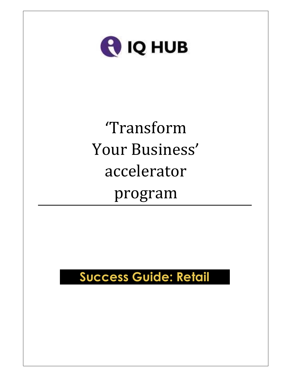

# 'Transform Your Business' accelerator program

# Success Guide: Retail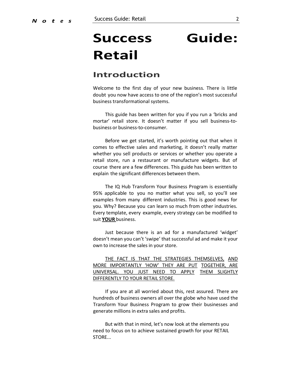# Success Guide: Retail

# Introduction

Welcome to the first day of your new business. There is little doubt you now have access to one of the region's most successful business transformational systems.

This guide has been written for you if you run a 'bricks and mortar' retail store. It doesn't matter if you sell business-tobusiness or business-to-consumer.

Before we get started, it's worth pointing out that when it comes to effective sales and marketing, it doesn't really matter whether you sell products or services or whether you operate a retail store, run a restaurant or manufacture widgets. But of course there are a few differences. This guide has been written to explain the significant differences between them.

The IQ Hub Transform Your Business Program is essentially 95% applicable to you no matter what you sell, so you'll see examples from many different industries. This is good news for you. Why? Because you can learn so much from other industries. Every template, every example, every strategy can be modified to suit YOUR business.

Just because there is an ad for a manufactured 'widget' doesn't mean you can't 'swipe' that successful ad and make it your own to increase the sales in your store.

THE FACT IS THAT THE STRATEGIES THEMSELVES, AND MORE IMPORTANTLY 'HOW' THEY ARE PUT TOGETHER, ARE UNIVERSAL. YOU JUST NEED TO APPLY THEM SLIGHTLY DIFFERENTLY TO YOUR RETAIL STORE.

If you are at all worried about this, rest assured. There are hundreds of business owners all over the globe who have used the Transform Your Business Program to grow their businesses and generate millions in extra sales and profits.

But with that in mind, let's now look at the elements you need to focus on to achieve sustained growth for your RETAIL STORE...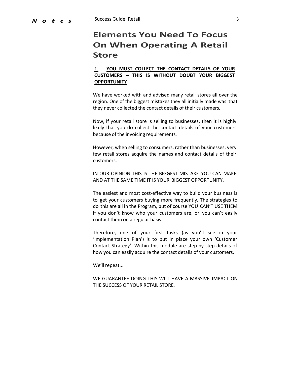# Elements You Need To Focus On When Operating A Retail Store

#### 1. YOU MUST COLLECT THE CONTACT DETAILS OF YOUR CUSTOMERS – THIS IS WITHOUT DOUBT YOUR BIGGEST **OPPORTUNITY**

We have worked with and advised many retail stores all over the region. One of the biggest mistakes they all initially made was that they never collected the contact details of their customers.

Now, if your retail store is selling to businesses, then it is highly likely that you do collect the contact details of your customers because of the invoicing requirements.

However, when selling to consumers, rather than businesses, very few retail stores acquire the names and contact details of their customers.

IN OUR OPINION THIS IS THE BIGGEST MISTAKE YOU CAN MAKE AND AT THE SAME TIME IT IS YOUR BIGGEST OPPORTUNITY.

The easiest and most cost-effective way to build your business is to get your customers buying more frequently. The strategies to do this are all in the Program, but of course YOU CAN'T USE THEM if you don't know who your customers are, or you can't easily contact them on a regular basis.

Therefore, one of your first tasks (as you'll see in your 'Implementation Plan') is to put in place your own 'Customer Contact Strategy'. Within this module are step-by-step details of how you can easily acquire the contact details of your customers.

We'll repeat...

WE GUARANTEE DOING THIS WILL HAVE A MASSIVE IMPACT ON THE SUCCESS OF YOUR RETAIL STORE.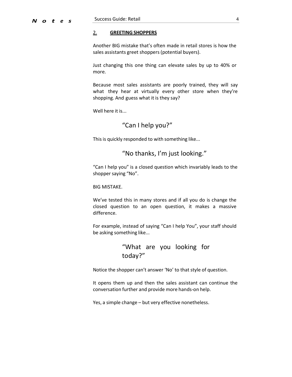#### 2. GREETING SHOPPERS

Another BIG mistake that's often made in retail stores is how the sales assistants greet shoppers (potential buyers).

Just changing this one thing can elevate sales by up to 40% or more.

Because most sales assistants are poorly trained, they will say what they hear at virtually every other store when they're shopping. And guess what it is they say?

Well here it is...

### "Can I help you?"

This is quickly responded to with something like...

### "No thanks, I'm just looking."

"Can I help you" is a closed question which invariably leads to the shopper saying "No".

BIG MISTAKE.

We've tested this in many stores and if all you do is change the closed question to an open question, it makes a massive difference.

For example, instead of saying "Can I help You", your staff should be asking something like...

# "What are you looking for today?"

Notice the shopper can't answer 'No' to that style of question.

It opens them up and then the sales assistant can continue the conversation further and provide more hands-on help.

Yes, a simple change – but very effective nonetheless.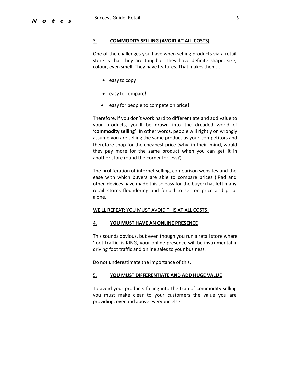#### 3. COMMODITY SELLING (AVOID AT ALL COSTS)

One of the challenges you have when selling products via a retail store is that they are tangible. They have definite shape, size, colour, even smell. They have features. That makes them...

- easy to copy!
- easy to compare!
- easy for people to compete on price!

Therefore, if you don't work hard to differentiate and add value to your products, you'll be drawn into the dreaded world of 'commodity selling'. In other words, people will rightly or wrongly assume you are selling the same product as your competitors and therefore shop for the cheapest price (why, in their mind, would they pay more for the same product when you can get it in another store round the corner for less?).

The proliferation of internet selling, comparison websites and the ease with which buyers are able to compare prices (iPad and other devices have made this so easy for the buyer) has left many retail stores floundering and forced to sell on price and price alone.

#### WE'LL REPEAT: YOU MUST AVOID THIS AT ALL COSTS!

#### 4. YOU MUST HAVE AN ONLINE PRESENCE

This sounds obvious, but even though you run a retail store where 'foot traffic' is KING, your online presence will be instrumental in driving foot traffic and online sales to your business.

Do not underestimate the importance of this.

#### 5. YOU MUST DIFFERENTIATE AND ADD HUGE VALUE

To avoid your products falling into the trap of commodity selling you must make clear to your customers the value you are providing, over and above everyone else.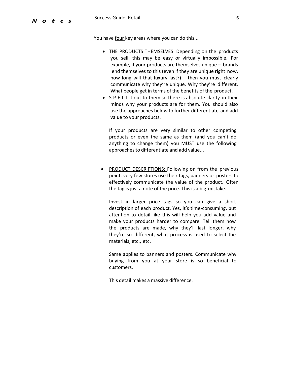You have four key areas where you can do this...

- THE PRODUCTS THEMSELVES: Depending on the products you sell, this may be easy or virtually impossible. For example, if your products are themselves unique – brands lend themselves to this (even if they are unique right now, how long will that luxury last?) – then you must clearly communicate why they're unique. Why they're different. What people get in terms of the benefits of the product.
- S-P-E-L-L it out to them so there is absolute clarity in their minds why your products are for them. You should also use the approaches below to further differentiate and add value to your products.

If your products are very similar to other competing products or even the same as them (and you can't do anything to change them) you MUST use the following approaches to differentiate and add value...

PRODUCT DESCRIPTIONS: Following on from the previous point, very few stores use their tags, banners or posters to effectively communicate the value of the product. Often the tag is just a note of the price. This is a big mistake.

Invest in larger price tags so you can give a short description of each product. Yes, it's time-consuming, but attention to detail like this will help you add value and make your products harder to compare. Tell them how the products are made, why they'll last longer, why they're so different, what process is used to select the materials, etc., etc.

Same applies to banners and posters. Communicate why buying from you at your store is so beneficial to customers.

This detail makes a massive difference.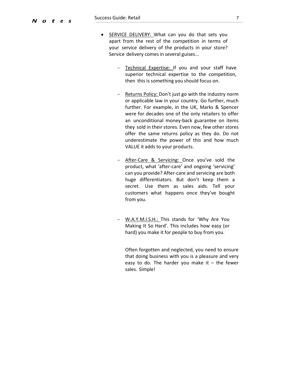- SERVICE DELIVERY: What can you do that sets you apart from the rest of the competition in terms of your service delivery of the products in your store? Service delivery comes in several guises...
	- $-$  Technical Expertise: If you and your staff have superior technical expertise to the competition, then this is something you should focus on.
	- Returns Policy: Don't just go with the industry norm or applicable law in your country. Go further, much further. For example, in the UK, Marks & Spencer were for decades one of the only retailers to offer an unconditional money-back guarantee on items they sold in their stores. Even now, few other stores offer the same returns policy as they do. Do not underestimate the power of this and how much VALUE it adds to your products.
	- After-Care & Servicing: Once you've sold the product, what 'after-care' and ongoing 'servicing' can you provide? After-care and servicing are both huge differentiators. But don't keep them a secret. Use them as sales aids. Tell your customers what happens once they've bought from you.
	- W.A.Y.M.I.S.H.: This stands for 'Why Are You Making It So Hard'. This includes how easy (or hard) you make it for people to buy from you.

Often forgotten and neglected, you need to ensure that doing business with you is a pleasure and very easy to do. The harder you make it  $-$  the fewer sales. Simple!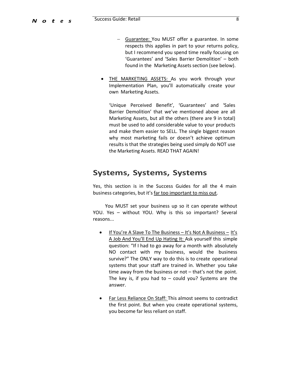- Guarantee: You MUST offer a guarantee. In some respects this applies in part to your returns policy, but I recommend you spend time really focusing on 'Guarantees' and 'Sales Barrier Demolition' – both found in the Marketing Assets section (see below).
- THE MARKETING ASSETS: As you work through your Implementation Plan, you'll automatically create your own Marketing Assets.

'Unique Perceived Benefit', 'Guarantees' and 'Sales Barrier Demolition' that we've mentioned above are all Marketing Assets, but all the others (there are 9 in total) must be used to add considerable value to your products and make them easier to SELL. The single biggest reason why most marketing fails or doesn't achieve optimum results is that the strategies being used simply do NOT use the Marketing Assets. READ THAT AGAIN!

## Systems, Systems, Systems

Yes, this section is in the Success Guides for all the 4 main business categories, but it's far too important to miss out.

You MUST set your business up so it can operate without YOU. Yes – without YOU. Why is this so important? Several reasons...

- If You're A Slave To The Business It's Not A Business It's A Job And You'll End Up Hating It: Ask yourself this simple question: "If I had to go away for a month with absolutely NO contact with my business, would the business survive?" The ONLY way to do this is to create operational systems that your staff are trained in. Whether you take time away from the business or not – that's not the point. The key is, if you had to  $-$  could you? Systems are the answer.
- Far Less Reliance On Staff: This almost seems to contradict the first point. But when you create operational systems, you become far less reliant on staff.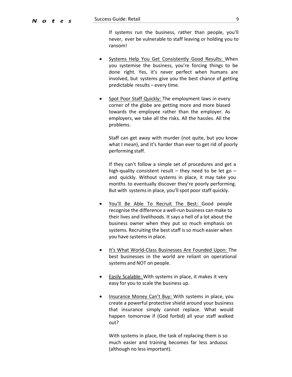If systems run the business, rather than people, you'll never, ever be vulnerable to staff leaving or holding you to ransom!

- Systems Help You Get Consistently Good Results: When you systemise the business, you're forcing things to be done right. Yes, it's never perfect when humans are involved, but systems give you the best chance of getting predictable results – every time.
- Spot Poor Staff Quickly: The employment laws in every corner of the globe are getting more and more biased towards the employee rather than the employer. As employers, we take all the risks. All the hassles. All the problems.

Staff can get away with murder (not quite, but you know what I mean), and it's harder than ever to get rid of poorly performing staff.

If they can't follow a simple set of procedures and get a high-quality consistent result – they need to be let go – and quickly. Without systems in place, it may take you months to eventually discover they're poorly performing. But with systems in place, you'll spot poor staff quickly.

- You'll Be Able To Recruit The Best: Good people recognise the difference a well-run business can make to their lives and livelihoods. It says a hell of a lot about the business owner when they put so much emphasis on systems. Recruiting the best staff is so much easier when you have systems in place.
- It's What World-Class Businesses Are Founded Upon: The best businesses in the world are reliant on operational systems and NOT on people.
- Easily Scalable: With systems in place, it makes it very easy for you to scale the business up.
- Insurance Money Can't Buy: With systems in place, you create a powerful protective shield around your business that insurance simply cannot replace. What would happen tomorrow if (God forbid) all your staff walked out?

With systems in place, the task of replacing them is so much easier and training becomes far less arduous (although no less important).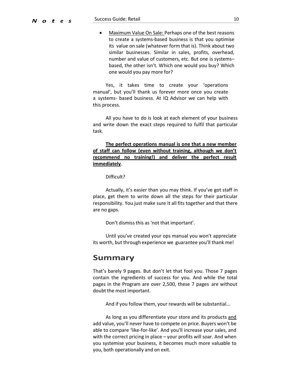• Maximum Value On Sale: Perhaps one of the best reasons to create a systems-based business is that you optimise its value on sale (whatever form that is). Think about two similar businesses. Similar in sales, profits, overhead, number and value of customers, etc. But one is systems– based, the other isn't. Which one would you buy? Which one would you pay more for?

Yes, it takes time to create your 'operations manual', but you'll thank us forever more once you create a systems- based business. At IQ Advisor we can help with this process.

All you have to do is look at each element of your business and write down the exact steps required to fulfil that particular task.

The perfect operations manual is one that a new member of staff can follow (even without training, although we don't recommend no training!) and deliver the perfect result immediately.

Difficult?

Actually, it's easier than you may think. If you've got staff in place, get them to write down all the steps for their particular responsibility. You just make sure it all fits together and that there are no gaps.

Don't dismiss this as 'not that important'.

Until you've created your ops manual you won't appreciate its worth, but through experience we guarantee you'll thank me!

#### Summary

That's barely 9 pages. But don't let that fool you. Those 7 pages contain the ingredients of success for you. And while the total pages in the Program are over 2,500, these 7 pages are without doubt the most important.

And if you follow them, your rewards will be substantial...

As long as you differentiate your store and its products and add value, you'll never have to compete on price. Buyers won't be able to compare 'like-for-like'. And you'll increase your sales, and with the correct pricing in place – your profits will soar. And when you systemise your business, it becomes much more valuable to you, both operationally and on exit.